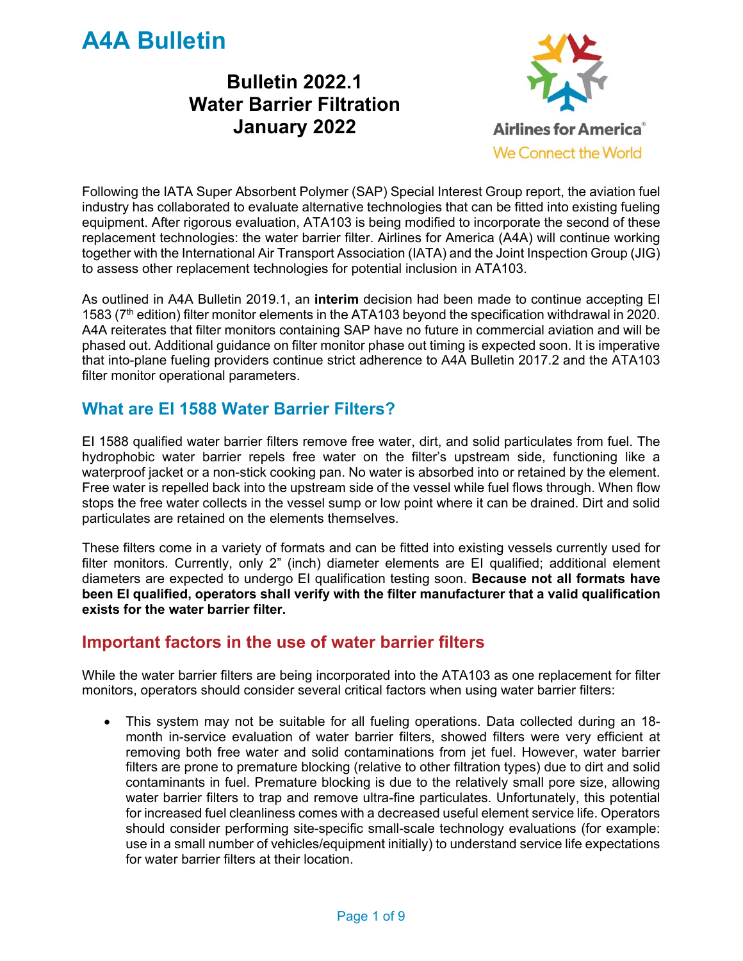**Bulletin 2022.1 Water Barrier Filtration January 2022**



Following the IATA Super Absorbent Polymer (SAP) Special Interest Group report, the aviation fuel industry has collaborated to evaluate alternative technologies that can be fitted into existing fueling equipment. After rigorous evaluation, ATA103 is being modified to incorporate the second of these replacement technologies: the water barrier filter. Airlines for America (A4A) will continue working together with the International Air Transport Association (IATA) and the Joint Inspection Group (JIG) to assess other replacement technologies for potential inclusion in ATA103.

As outlined in A4A Bulletin 2019.1, an **interim** decision had been made to continue accepting EI 1583 (7th edition) filter monitor elements in the ATA103 beyond the specification withdrawal in 2020. A4A reiterates that filter monitors containing SAP have no future in commercial aviation and will be phased out. Additional guidance on filter monitor phase out timing is expected soon. It is imperative that into-plane fueling providers continue strict adherence to A4A Bulletin 2017.2 and the ATA103 filter monitor operational parameters.

#### **What are EI 1588 Water Barrier Filters?**

EI 1588 qualified water barrier filters remove free water, dirt, and solid particulates from fuel. The hydrophobic water barrier repels free water on the filter's upstream side, functioning like a waterproof jacket or a non-stick cooking pan. No water is absorbed into or retained by the element. Free water is repelled back into the upstream side of the vessel while fuel flows through. When flow stops the free water collects in the vessel sump or low point where it can be drained. Dirt and solid particulates are retained on the elements themselves.

These filters come in a variety of formats and can be fitted into existing vessels currently used for filter monitors. Currently, only 2" (inch) diameter elements are EI qualified; additional element diameters are expected to undergo EI qualification testing soon. **Because not all formats have been EI qualified, operators shall verify with the filter manufacturer that a valid qualification exists for the water barrier filter.**

#### **Important factors in the use of water barrier filters**

While the water barrier filters are being incorporated into the ATA103 as one replacement for filter monitors, operators should consider several critical factors when using water barrier filters:

 This system may not be suitable for all fueling operations. Data collected during an 18 month in-service evaluation of water barrier filters, showed filters were very efficient at removing both free water and solid contaminations from jet fuel. However, water barrier filters are prone to premature blocking (relative to other filtration types) due to dirt and solid contaminants in fuel. Premature blocking is due to the relatively small pore size, allowing water barrier filters to trap and remove ultra-fine particulates. Unfortunately, this potential for increased fuel cleanliness comes with a decreased useful element service life. Operators should consider performing site-specific small-scale technology evaluations (for example: use in a small number of vehicles/equipment initially) to understand service life expectations for water barrier filters at their location.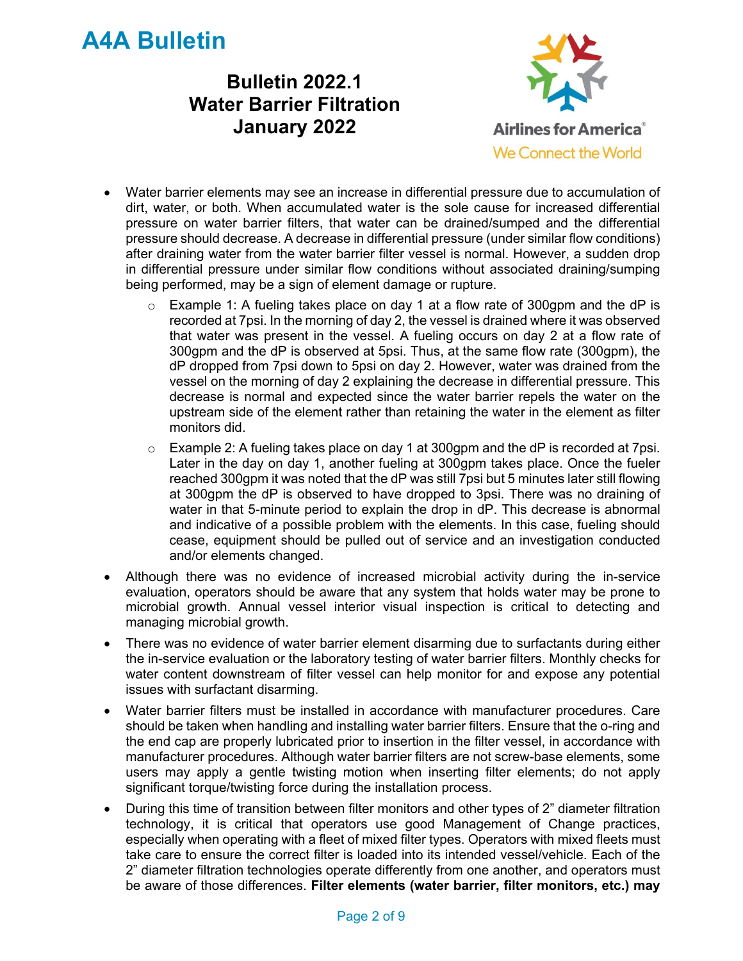**Bulletin 2022.1 Water Barrier Filtration January 2022**



- Water barrier elements may see an increase in differential pressure due to accumulation of dirt, water, or both. When accumulated water is the sole cause for increased differential pressure on water barrier filters, that water can be drained/sumped and the differential pressure should decrease. A decrease in differential pressure (under similar flow conditions) after draining water from the water barrier filter vessel is normal. However, a sudden drop in differential pressure under similar flow conditions without associated draining/sumping being performed, may be a sign of element damage or rupture.
	- $\circ$  Example 1: A fueling takes place on day 1 at a flow rate of 300gpm and the dP is recorded at 7psi. In the morning of day 2, the vessel is drained where it was observed that water was present in the vessel. A fueling occurs on day 2 at a flow rate of 300gpm and the dP is observed at 5psi. Thus, at the same flow rate (300gpm), the dP dropped from 7psi down to 5psi on day 2. However, water was drained from the vessel on the morning of day 2 explaining the decrease in differential pressure. This decrease is normal and expected since the water barrier repels the water on the upstream side of the element rather than retaining the water in the element as filter monitors did.
	- $\circ$  Example 2: A fueling takes place on day 1 at 300 apm and the dP is recorded at 7 psi. Later in the day on day 1, another fueling at 300gpm takes place. Once the fueler reached 300gpm it was noted that the dP was still 7psi but 5 minutes later still flowing at 300gpm the dP is observed to have dropped to 3psi. There was no draining of water in that 5-minute period to explain the drop in dP. This decrease is abnormal and indicative of a possible problem with the elements. In this case, fueling should cease, equipment should be pulled out of service and an investigation conducted and/or elements changed.
- Although there was no evidence of increased microbial activity during the in-service evaluation, operators should be aware that any system that holds water may be prone to microbial growth. Annual vessel interior visual inspection is critical to detecting and managing microbial growth.
- There was no evidence of water barrier element disarming due to surfactants during either the in-service evaluation or the laboratory testing of water barrier filters. Monthly checks for water content downstream of filter vessel can help monitor for and expose any potential issues with surfactant disarming.
- Water barrier filters must be installed in accordance with manufacturer procedures. Care should be taken when handling and installing water barrier filters. Ensure that the o-ring and the end cap are properly lubricated prior to insertion in the filter vessel, in accordance with manufacturer procedures. Although water barrier filters are not screw-base elements, some users may apply a gentle twisting motion when inserting filter elements; do not apply significant torque/twisting force during the installation process.
- During this time of transition between filter monitors and other types of 2" diameter filtration technology, it is critical that operators use good Management of Change practices, especially when operating with a fleet of mixed filter types. Operators with mixed fleets must take care to ensure the correct filter is loaded into its intended vessel/vehicle. Each of the 2" diameter filtration technologies operate differently from one another, and operators must be aware of those differences. **Filter elements (water barrier, filter monitors, etc.) may**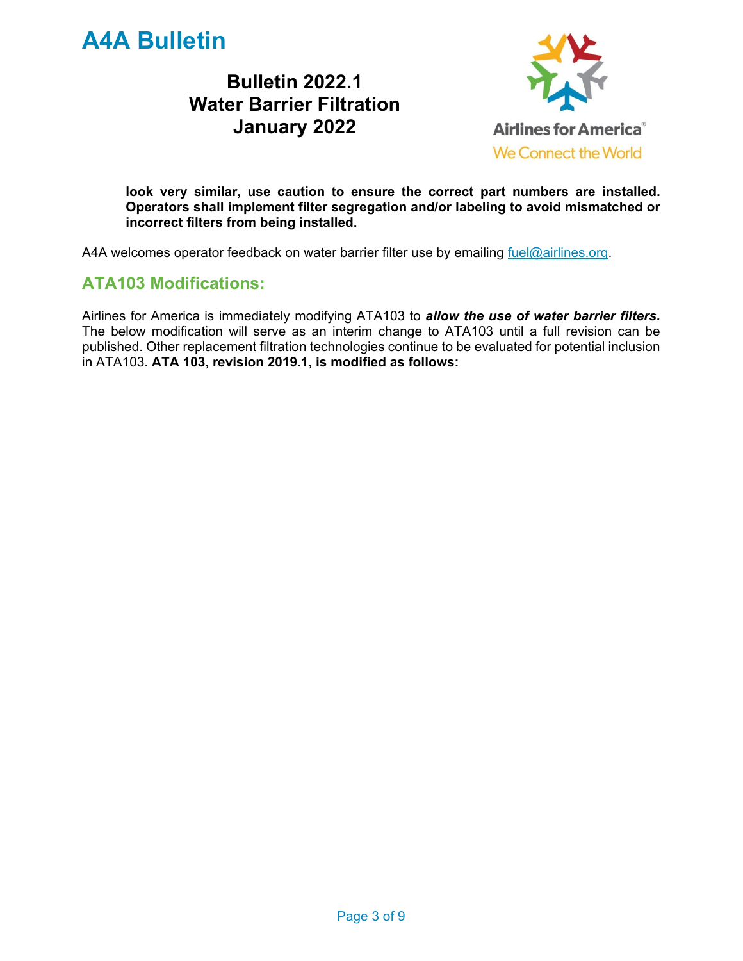

**Bulletin 2022.1 Water Barrier Filtration January 2022**



**look very similar, use caution to ensure the correct part numbers are installed. Operators shall implement filter segregation and/or labeling to avoid mismatched or incorrect filters from being installed.**

A4A welcomes operator feedback on water barrier filter use by emailing fuel@airlines.org.

#### **ATA103 Modifications:**

Airlines for America is immediately modifying ATA103 to *allow the use of water barrier filters.* The below modification will serve as an interim change to ATA103 until a full revision can be published. Other replacement filtration technologies continue to be evaluated for potential inclusion in ATA103. **ATA 103, revision 2019.1, is modified as follows:**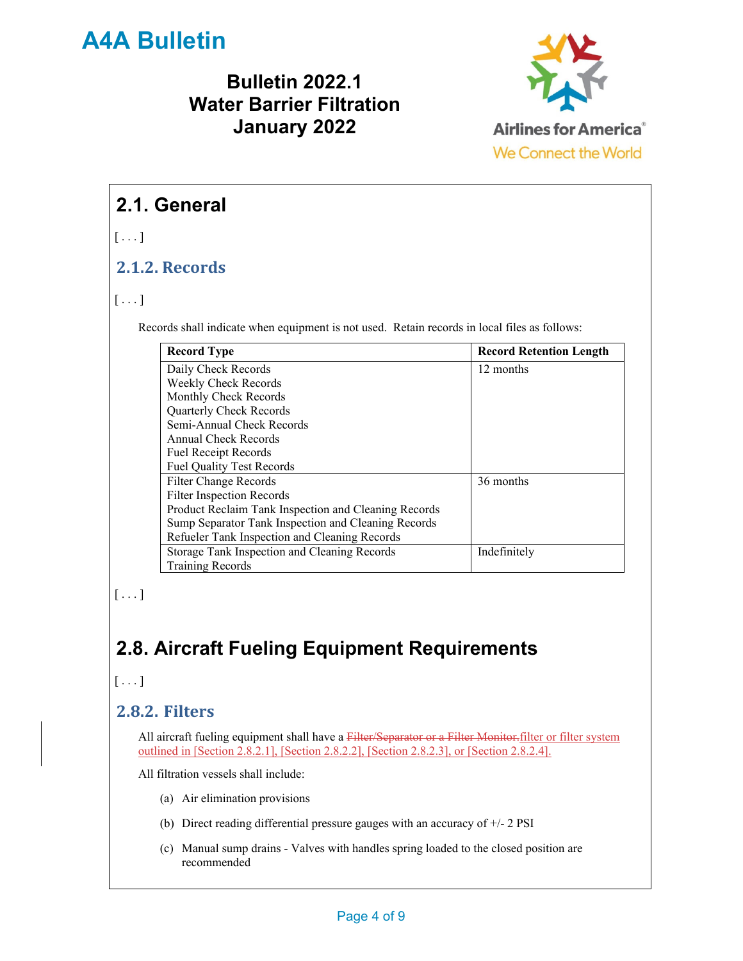#### **Bulletin 2022.1 Water Barrier Filtration January 2022**



# **2.1. General**

 $[\ldots]$ 

#### **2.1.2. Records**

 $[\ldots]$ 

Records shall indicate when equipment is not used. Retain records in local files as follows:

| <b>Record Type</b>                                   | <b>Record Retention Length</b> |
|------------------------------------------------------|--------------------------------|
| Daily Check Records                                  | 12 months                      |
| <b>Weekly Check Records</b>                          |                                |
| Monthly Check Records                                |                                |
| <b>Quarterly Check Records</b>                       |                                |
| Semi-Annual Check Records                            |                                |
| Annual Check Records                                 |                                |
| Fuel Receipt Records                                 |                                |
| <b>Fuel Quality Test Records</b>                     |                                |
| Filter Change Records                                | 36 months                      |
| Filter Inspection Records                            |                                |
| Product Reclaim Tank Inspection and Cleaning Records |                                |
| Sump Separator Tank Inspection and Cleaning Records  |                                |
| Refueler Tank Inspection and Cleaning Records        |                                |
| Storage Tank Inspection and Cleaning Records         | Indefinitely                   |
| <b>Training Records</b>                              |                                |

 $[\ldots]$ 

### **2.8. Aircraft Fueling Equipment Requirements**

 $[\ldots]$ 

#### **2.8.2. Filters**

All aircraft fueling equipment shall have a Filter/Separator or a Filter Monitor. filter or filter system outlined in [Section 2.8.2.1], [Section 2.8.2.2], [Section 2.8.2.3], or [Section 2.8.2.4].

All filtration vessels shall include:

- (a) Air elimination provisions
- (b) Direct reading differential pressure gauges with an accuracy of +/- 2 PSI
- (c) Manual sump drains Valves with handles spring loaded to the closed position are recommended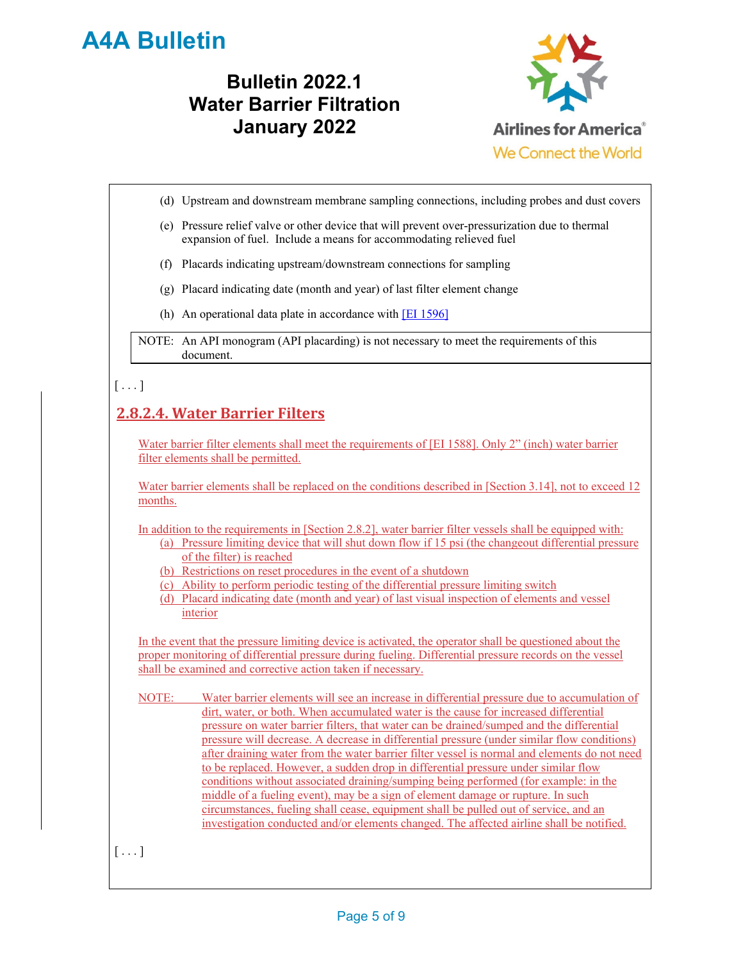**Bulletin 2022.1 Water Barrier Filtration January 2022**



|            | $\sim$ poutant and do whou can increase sampling connections, mensuing process and dasc covers                                                                                                                                                                                                                   |
|------------|------------------------------------------------------------------------------------------------------------------------------------------------------------------------------------------------------------------------------------------------------------------------------------------------------------------|
|            | (e) Pressure relief valve or other device that will prevent over-pressurization due to thermal<br>expansion of fuel. Include a means for accommodating relieved fuel                                                                                                                                             |
| (f)        | Placards indicating upstream/downstream connections for sampling                                                                                                                                                                                                                                                 |
|            | (g) Placard indicating date (month and year) of last filter element change                                                                                                                                                                                                                                       |
|            | (h) An operational data plate in accordance with $[E1596]$                                                                                                                                                                                                                                                       |
|            | NOTE: An API monogram (API placarding) is not necessary to meet the requirements of this<br>document.                                                                                                                                                                                                            |
| $[\ldots]$ | 2.8.2.4. Water Barrier Filters                                                                                                                                                                                                                                                                                   |
|            | Water barrier filter elements shall meet the requirements of [EI 1588]. Only 2" (inch) water barrier<br>filter elements shall be permitted.                                                                                                                                                                      |
| months.    | Water barrier elements shall be replaced on the conditions described in [Section 3.14], not to exceed 12                                                                                                                                                                                                         |
|            | In addition to the requirements in [Section 2.8.2], water barrier filter vessels shall be equipped with:<br>(a) Pressure limiting device that will shut down flow if 15 psi (the changeout differential pressure<br>of the filter) is reached<br>(b) Restrictions on reset procedures in the event of a shutdown |
|            | (c) Ability to perform periodic testing of the differential pressure limiting switch                                                                                                                                                                                                                             |

(d) Upstream and downstream membrane sampling connections, including probes and dust covers

(d) Placard indicating date (month and year) of last visual inspection of elements and vessel interior

In the event that the pressure limiting device is activated, the operator shall be questioned about the proper monitoring of differential pressure during fueling. Differential pressure records on the vessel shall be examined and corrective action taken if necessary.

NOTE: Water barrier elements will see an increase in differential pressure due to accumulation of dirt, water, or both. When accumulated water is the cause for increased differential pressure on water barrier filters, that water can be drained/sumped and the differential pressure will decrease. A decrease in differential pressure (under similar flow conditions) after draining water from the water barrier filter vessel is normal and elements do not need to be replaced. However, a sudden drop in differential pressure under similar flow conditions without associated draining/sumping being performed (for example: in the middle of a fueling event), may be a sign of element damage or rupture. In such circumstances, fueling shall cease, equipment shall be pulled out of service, and an investigation conducted and/or elements changed. The affected airline shall be notified.

 $[\ldots]$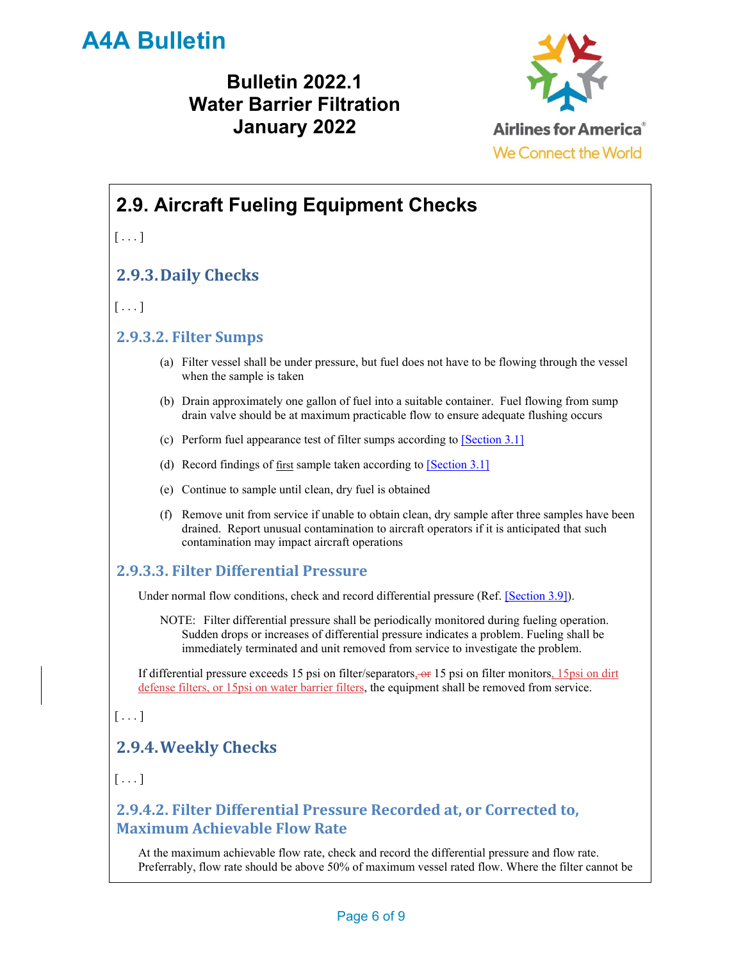**Bulletin 2022.1 Water Barrier Filtration January 2022**



### **2.9. Aircraft Fueling Equipment Checks**   $[\ldots]$ **2.9.3.Daily Checks**  $[\ldots]$ **2.9.3.2. Filter Sumps** (a) Filter vessel shall be under pressure, but fuel does not have to be flowing through the vessel when the sample is taken (b) Drain approximately one gallon of fuel into a suitable container. Fuel flowing from sump drain valve should be at maximum practicable flow to ensure adequate flushing occurs (c) Perform fuel appearance test of filter sumps according to [Section 3.1] (d) Record findings of  $f$ <u>irst</u> sample taken according to  $S$ ection 3.1] (e) Continue to sample until clean, dry fuel is obtained (f) Remove unit from service if unable to obtain clean, dry sample after three samples have been drained. Report unusual contamination to aircraft operators if it is anticipated that such contamination may impact aircraft operations **2.9.3.3. Filter Differential Pressure** Under normal flow conditions, check and record differential pressure (Ref. [Section 3.9]). NOTE: Filter differential pressure shall be periodically monitored during fueling operation. Sudden drops or increases of differential pressure indicates a problem. Fueling shall be immediately terminated and unit removed from service to investigate the problem. If differential pressure exceeds 15 psi on filter/separators, or 15 psi on filter monitors, 15psi on dirt defense filters, or 15psi on water barrier filters, the equipment shall be removed from service.  $[\ldots]$ **2.9.4.Weekly Checks**  $[\ldots]$ **2.9.4.2. Filter Differential Pressure Recorded at, or Corrected to, Maximum Achievable Flow Rate**

At the maximum achievable flow rate, check and record the differential pressure and flow rate. Preferrably, flow rate should be above 50% of maximum vessel rated flow. Where the filter cannot be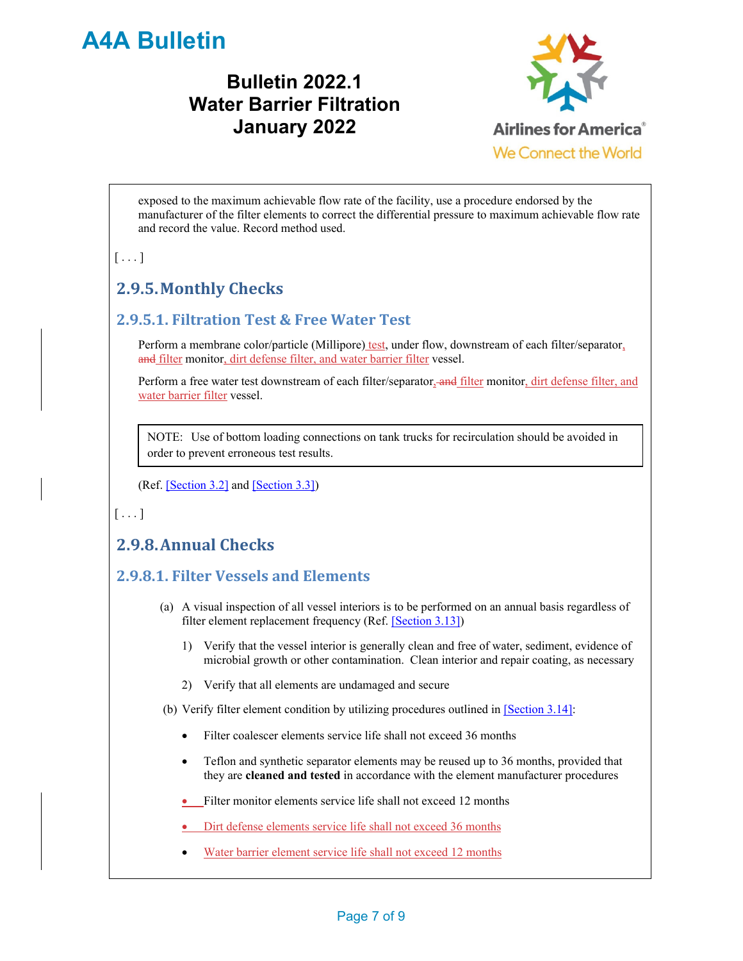**Bulletin 2022.1 Water Barrier Filtration January 2022**





- Teflon and synthetic separator elements may be reused up to 36 months, provided that they are **cleaned and tested** in accordance with the element manufacturer procedures
- Filter monitor elements service life shall not exceed 12 months
- Dirt defense elements service life shall not exceed 36 months
- Water barrier element service life shall not exceed 12 months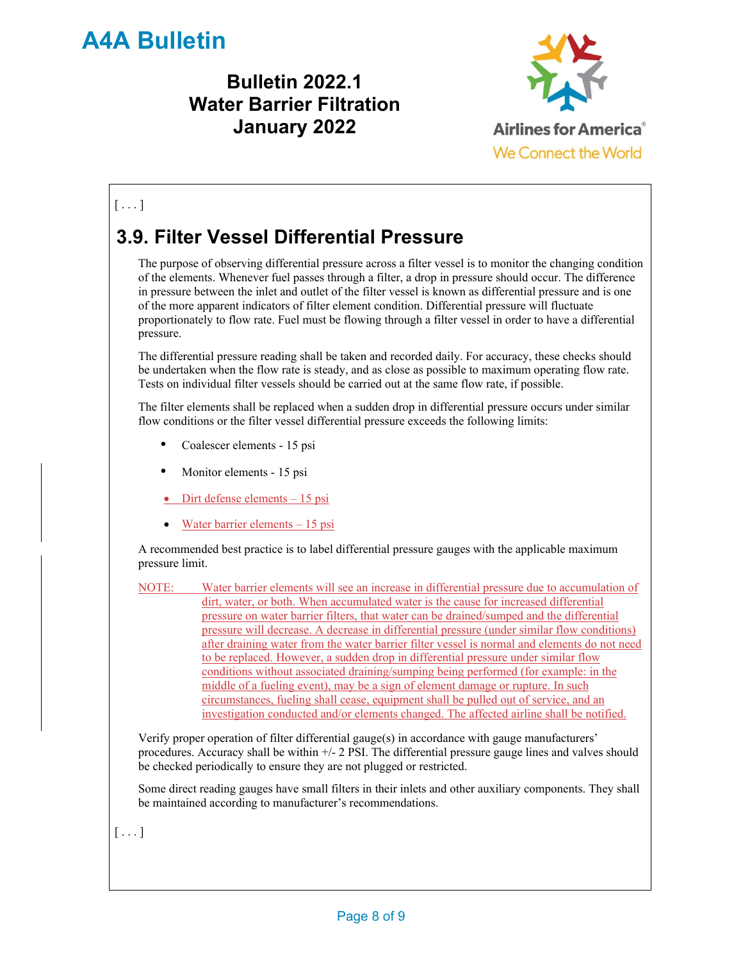**Bulletin 2022.1 Water Barrier Filtration January 2022**



#### $[ \ldots ]$

### **3.9. Filter Vessel Differential Pressure**

The purpose of observing differential pressure across a filter vessel is to monitor the changing condition of the elements. Whenever fuel passes through a filter, a drop in pressure should occur. The difference in pressure between the inlet and outlet of the filter vessel is known as differential pressure and is one of the more apparent indicators of filter element condition. Differential pressure will fluctuate proportionately to flow rate. Fuel must be flowing through a filter vessel in order to have a differential pressure.

The differential pressure reading shall be taken and recorded daily. For accuracy, these checks should be undertaken when the flow rate is steady, and as close as possible to maximum operating flow rate. Tests on individual filter vessels should be carried out at the same flow rate, if possible.

The filter elements shall be replaced when a sudden drop in differential pressure occurs under similar flow conditions or the filter vessel differential pressure exceeds the following limits:

- Coalescer elements 15 psi
- Monitor elements 15 psi
- Dirt defense elements 15 psi
- Water barrier elements 15 psi

A recommended best practice is to label differential pressure gauges with the applicable maximum pressure limit.

NOTE: Water barrier elements will see an increase in differential pressure due to accumulation of dirt, water, or both. When accumulated water is the cause for increased differential pressure on water barrier filters, that water can be drained/sumped and the differential pressure will decrease. A decrease in differential pressure (under similar flow conditions) after draining water from the water barrier filter vessel is normal and elements do not need to be replaced. However, a sudden drop in differential pressure under similar flow conditions without associated draining/sumping being performed (for example: in the middle of a fueling event), may be a sign of element damage or rupture. In such circumstances, fueling shall cease, equipment shall be pulled out of service, and an investigation conducted and/or elements changed. The affected airline shall be notified.

Verify proper operation of filter differential gauge(s) in accordance with gauge manufacturers' procedures. Accuracy shall be within +/- 2 PSI. The differential pressure gauge lines and valves should be checked periodically to ensure they are not plugged or restricted.

Some direct reading gauges have small filters in their inlets and other auxiliary components. They shall be maintained according to manufacturer's recommendations.

 $[\ldots]$